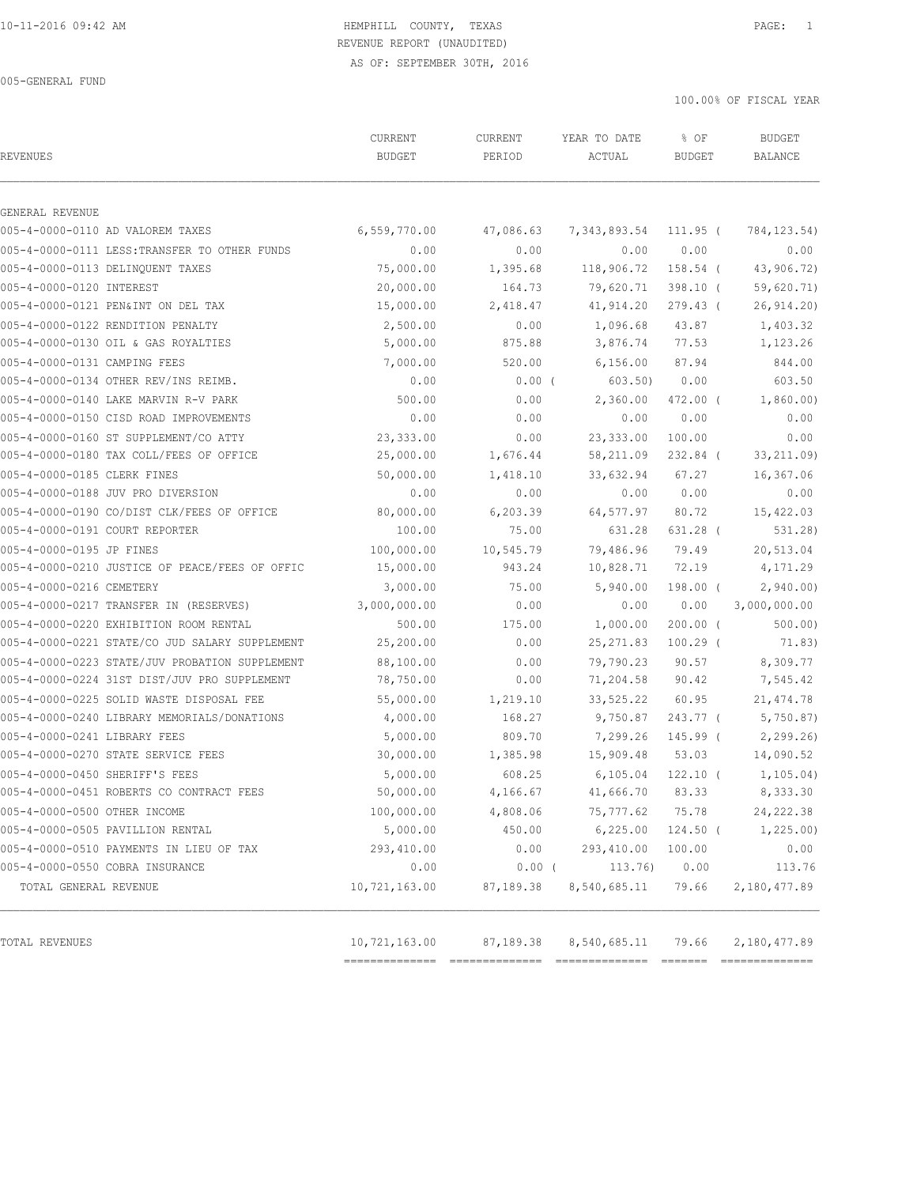005-GENERAL FUND

100.00% OF FISCAL YEAR

| <b>REVENUES</b>                                | CURRENT<br><b>BUDGET</b> | CURRENT<br>PERIOD | YEAR TO DATE<br>ACTUAL | % OF<br><b>BUDGET</b> | <b>BUDGET</b><br>BALANCE |
|------------------------------------------------|--------------------------|-------------------|------------------------|-----------------------|--------------------------|
| GENERAL REVENUE                                |                          |                   |                        |                       |                          |
| 005-4-0000-0110 AD VALOREM TAXES               | 6,559,770.00             | 47,086.63         | 7,343,893.54           | 111.95 (              | 784, 123.54)             |
| 005-4-0000-0111 LESS: TRANSFER TO OTHER FUNDS  | 0.00                     | 0.00              | 0.00                   | 0.00                  | 0.00                     |
| 005-4-0000-0113 DELINQUENT TAXES               | 75,000.00                | 1,395.68          | 118,906.72             | 158.54 (              | 43,906.72)               |
| 005-4-0000-0120 INTEREST                       | 20,000.00                | 164.73            | 79,620.71              | $398.10$ (            | 59,620.71)               |
| 005-4-0000-0121 PEN&INT ON DEL TAX             | 15,000.00                | 2,418.47          | 41,914.20              | 279.43 (              | 26,914.20)               |
| 005-4-0000-0122 RENDITION PENALTY              | 2,500.00                 | 0.00              | 1,096.68               | 43.87                 | 1,403.32                 |
| 005-4-0000-0130 OIL & GAS ROYALTIES            | 5,000.00                 | 875.88            | 3,876.74               | 77.53                 | 1,123.26                 |
| 005-4-0000-0131 CAMPING FEES                   | 7,000.00                 | 520.00            | 6,156.00               | 87.94                 | 844.00                   |
| 005-4-0000-0134 OTHER REV/INS REIMB.           | 0.00                     | $0.00$ (          | 603.50)                | 0.00                  | 603.50                   |
| 005-4-0000-0140 LAKE MARVIN R-V PARK           | 500.00                   | 0.00              | 2,360.00               | 472.00 (              | 1,860.00)                |
| 005-4-0000-0150 CISD ROAD IMPROVEMENTS         | 0.00                     | 0.00              | 0.00                   | 0.00                  | 0.00                     |
| 005-4-0000-0160 ST SUPPLEMENT/CO ATTY          | 23,333.00                | 0.00              | 23, 333.00             | 100.00                | 0.00                     |
| 005-4-0000-0180 TAX COLL/FEES OF OFFICE        | 25,000.00                | 1,676.44          | 58, 211.09             | $232.84$ (            | 33, 211.09)              |
| 005-4-0000-0185 CLERK FINES                    | 50,000.00                | 1,418.10          | 33,632.94              | 67.27                 | 16,367.06                |
| 005-4-0000-0188 JUV PRO DIVERSION              | 0.00                     | 0.00              | 0.00                   | 0.00                  | 0.00                     |
| 005-4-0000-0190 CO/DIST CLK/FEES OF OFFICE     | 80,000.00                | 6,203.39          | 64,577.97              | 80.72                 | 15,422.03                |
| 005-4-0000-0191 COURT REPORTER                 | 100.00                   | 75.00             | 631.28                 | 631.28 (              | 531.28)                  |
| 005-4-0000-0195 JP FINES                       | 100,000.00               | 10,545.79         | 79,486.96              | 79.49                 | 20,513.04                |
| 005-4-0000-0210 JUSTICE OF PEACE/FEES OF OFFIC | 15,000.00                | 943.24            | 10,828.71              | 72.19                 | 4,171.29                 |
| 005-4-0000-0216 CEMETERY                       | 3,000.00                 | 75.00             | 5,940.00               | 198.00 (              | 2,940.00                 |
| 005-4-0000-0217 TRANSFER IN (RESERVES)         | 3,000,000.00             | 0.00              | 0.00                   | 0.00                  | 3,000,000.00             |
| 005-4-0000-0220 EXHIBITION ROOM RENTAL         | 500.00                   | 175.00            | 1,000.00               | $200.00$ (            | 500.00                   |
| 005-4-0000-0221 STATE/CO JUD SALARY SUPPLEMENT | 25,200.00                | 0.00              | 25, 271.83             | $100.29$ (            | 71.83)                   |
| 005-4-0000-0223 STATE/JUV PROBATION SUPPLEMENT | 88,100.00                | 0.00              | 79,790.23              | 90.57                 | 8,309.77                 |
| 005-4-0000-0224 31ST DIST/JUV PRO SUPPLEMENT   | 78,750.00                | 0.00              | 71,204.58              | 90.42                 | 7,545.42                 |
| 005-4-0000-0225 SOLID WASTE DISPOSAL FEE       | 55,000.00                | 1,219.10          | 33,525.22              | 60.95                 | 21, 474.78               |
| 005-4-0000-0240 LIBRARY MEMORIALS/DONATIONS    | 4,000.00                 | 168.27            | 9,750.87               | 243.77 (              | 5,750.87                 |
| 005-4-0000-0241 LIBRARY FEES                   | 5,000.00                 | 809.70            | 7,299.26               | 145.99 (              | 2, 299.26                |
| 005-4-0000-0270 STATE SERVICE FEES             | 30,000.00                | 1,385.98          | 15,909.48              | 53.03                 | 14,090.52                |
| 005-4-0000-0450 SHERIFF'S FEES                 | 5,000.00                 | 608.25            | 6, 105.04              | $122.10$ (            | 1, 105.04)               |
| 005-4-0000-0451 ROBERTS CO CONTRACT FEES       | 50,000.00                | 4,166.67          | 41,666.70 83.33        |                       | 8,333.30                 |
| 005-4-0000-0500 OTHER INCOME                   | 100,000.00               | 4,808.06          | 75,777.62              | 75.78                 | 24, 222.38               |
| 005-4-0000-0505 PAVILLION RENTAL               | 5,000.00                 | 450.00            | 6,225.00               | $124.50$ (            | 1,225.00)                |
| 005-4-0000-0510 PAYMENTS IN LIEU OF TAX        | 293,410.00               | 0.00              | 293,410.00             | 100.00                | 0.00                     |
| 005-4-0000-0550 COBRA INSURANCE                | 0.00                     | $0.00$ (          | 113.76)                | 0.00                  | 113.76                   |
| TOTAL GENERAL REVENUE                          | 10,721,163.00            | 87,189.38         | 8,540,685.11           | 79.66                 | 2,180,477.89             |
|                                                |                          |                   |                        |                       |                          |
| TOTAL REVENUES                                 | 10,721,163.00            | 87,189.38         | 8,540,685.11           | 79.66                 | 2,180,477.89             |

============== ============== ============== ======= ==============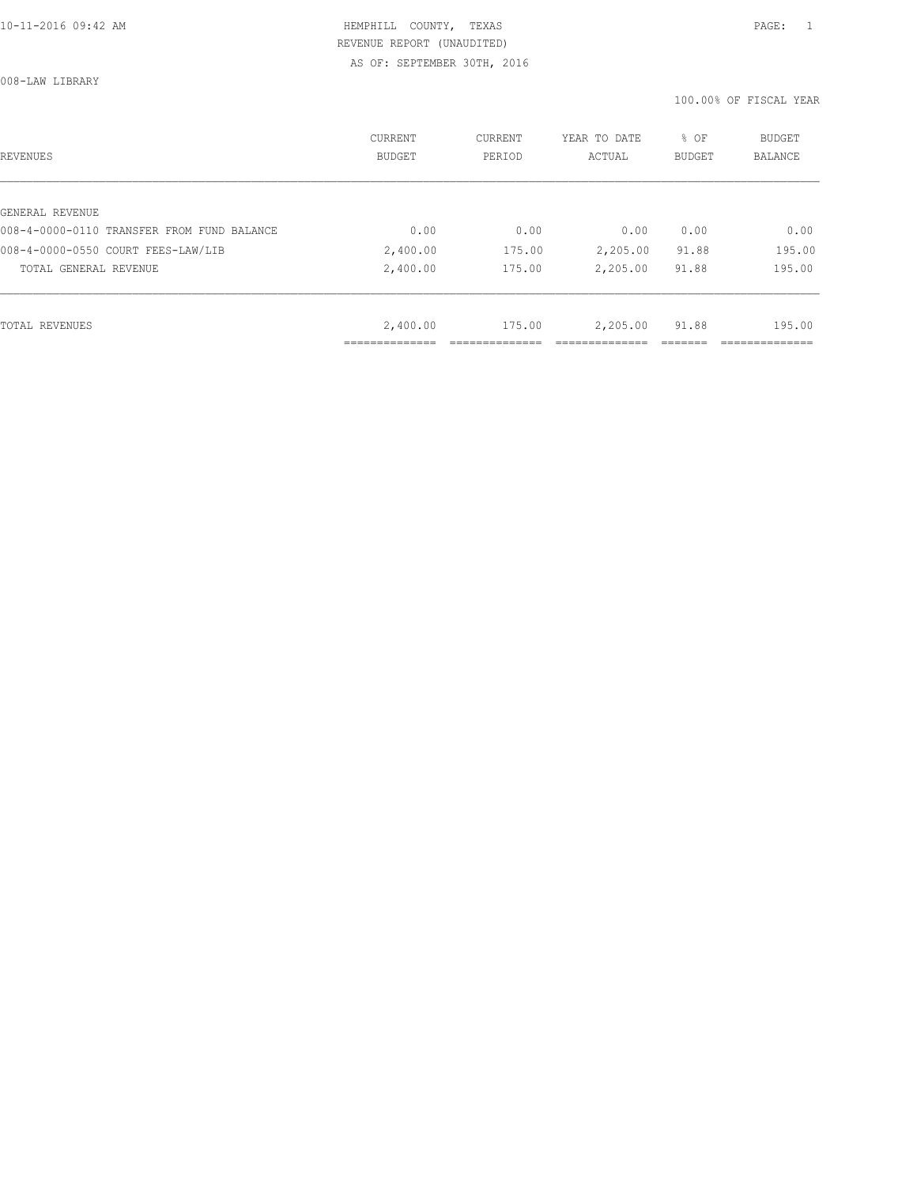008-LAW LIBRARY

| REVENUES                                   | CURRENT<br><b>BUDGET</b> | CURRENT<br>PERIOD | YEAR TO DATE<br>ACTUAL | % OF<br>BUDGET | BUDGET<br>BALANCE |
|--------------------------------------------|--------------------------|-------------------|------------------------|----------------|-------------------|
|                                            |                          |                   |                        |                |                   |
| GENERAL REVENUE                            |                          |                   |                        |                |                   |
| 008-4-0000-0110 TRANSFER FROM FUND BALANCE | 0.00                     | 0.00              | 0.00                   | 0.00           | 0.00              |
| 008-4-0000-0550 COURT FEES-LAW/LIB         | 2,400.00                 | 175.00            | 2,205.00               | 91.88          | 195.00            |
| TOTAL GENERAL REVENUE                      | 2,400.00                 | 175.00            | 2,205.00               | 91.88          | 195.00            |
|                                            |                          |                   |                        |                |                   |
| TOTAL REVENUES                             | 2,400.00                 | 175.00            | 2,205.00               | 91.88          | 195.00            |
|                                            |                          |                   |                        |                |                   |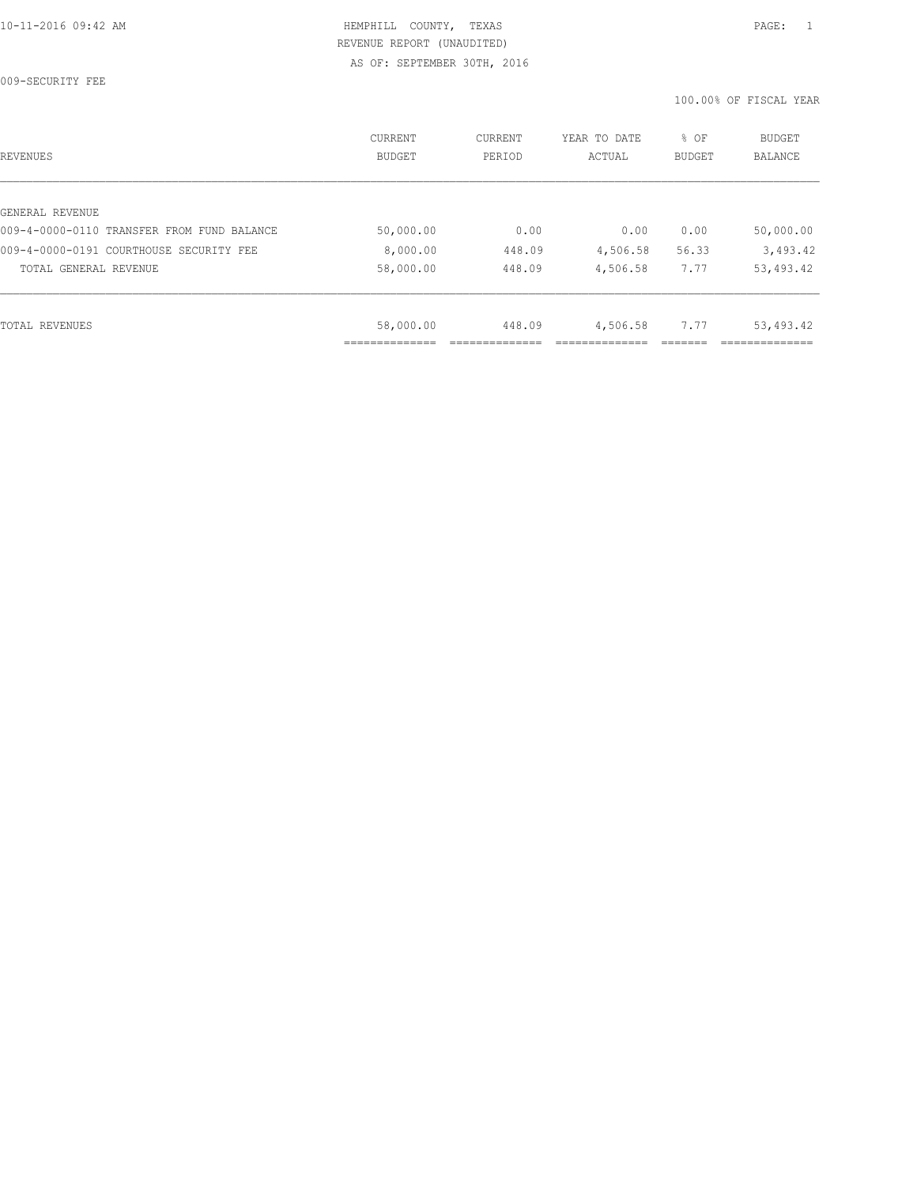009-SECURITY FEE

| REVENUES                                   | CURRENT<br><b>BUDGET</b> | CURRENT<br>PERIOD | YEAR TO DATE<br>ACTUAL | % OF<br>BUDGET | <b>BUDGET</b><br><b>BALANCE</b> |
|--------------------------------------------|--------------------------|-------------------|------------------------|----------------|---------------------------------|
|                                            |                          |                   |                        |                |                                 |
| GENERAL REVENUE                            |                          |                   |                        |                |                                 |
| 009-4-0000-0110 TRANSFER FROM FUND BALANCE | 50,000.00                | 0.00              | 0.00                   | 0.00           | 50,000.00                       |
| 009-4-0000-0191 COURTHOUSE SECURITY FEE    | 8,000.00                 | 448.09            | 4,506.58               | 56.33          | 3,493.42                        |
| TOTAL GENERAL REVENUE                      | 58,000.00                | 448.09            | 4,506.58               | 7.77           | 53,493.42                       |
|                                            |                          |                   |                        |                |                                 |
| TOTAL REVENUES                             | 58,000.00                | 448.09            | 4,506.58               | 7.77           | 53,493.42                       |
|                                            |                          |                   |                        |                |                                 |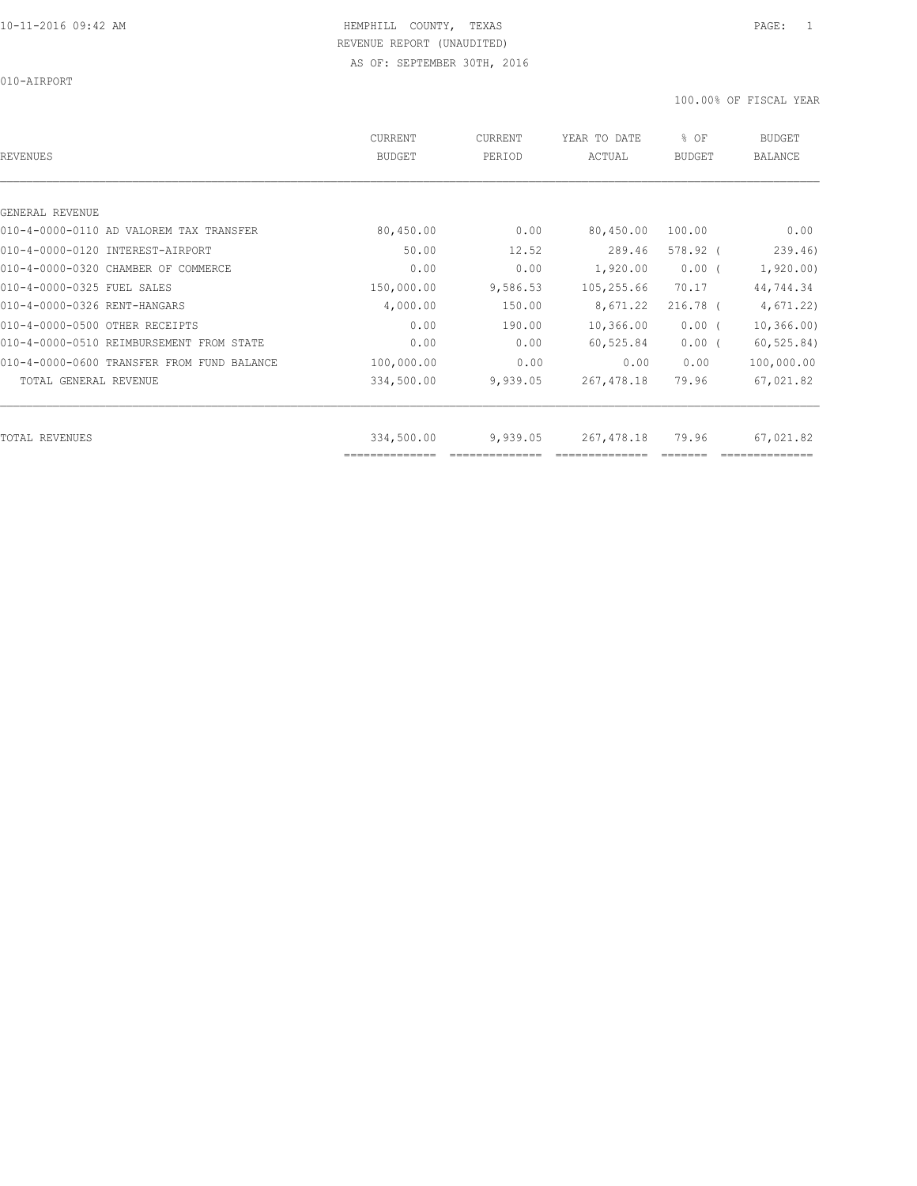010-AIRPORT

| REVENUES                                   | <b>CURRENT</b><br><b>BUDGET</b> | CURRENT<br>PERIOD | YEAR TO DATE<br>ACTUAL | % OF<br><b>BUDGET</b> | <b>BUDGET</b><br><b>BALANCE</b> |
|--------------------------------------------|---------------------------------|-------------------|------------------------|-----------------------|---------------------------------|
|                                            |                                 |                   |                        |                       |                                 |
| GENERAL REVENUE                            |                                 |                   |                        |                       |                                 |
| 010-4-0000-0110 AD VALOREM TAX TRANSFER    | 80,450.00                       | 0.00              | 80,450.00              | 100.00                | 0.00                            |
| 010-4-0000-0120 INTEREST-AIRPORT           | 50.00                           | 12.52             | 289.46                 | $578.92$ (            | 239.46                          |
| 010-4-0000-0320 CHAMBER OF COMMERCE        | 0.00                            | 0.00              | 1,920.00               | $0.00$ (              | 1,920.00                        |
| 010-4-0000-0325 FUEL SALES                 | 150,000.00                      | 9,586.53          | 105,255.66             | 70.17                 | 44,744.34                       |
| 010-4-0000-0326 RENT-HANGARS               | 4,000.00                        | 150.00            | 8,671.22               | $216.78$ (            | 4,671.22)                       |
| 010-4-0000-0500 OTHER RECEIPTS             | 0.00                            | 190.00            | 10,366.00              | $0.00$ (              | 10, 366, 00)                    |
| 010-4-0000-0510 REIMBURSEMENT FROM STATE   | 0.00                            | 0.00              | 60,525.84              | $0.00$ (              | 60, 525.84)                     |
| 010-4-0000-0600 TRANSFER FROM FUND BALANCE | 100,000.00                      | 0.00              | 0.00                   | 0.00                  | 100,000.00                      |
| TOTAL GENERAL REVENUE                      | 334,500.00                      | 9,939.05          | 267, 478.18            | 79.96                 | 67,021.82                       |
|                                            |                                 |                   |                        |                       |                                 |
| TOTAL REVENUES                             | 334,500.00<br>==============    | 9,939.05          | 267, 478.18            | 79.96                 | 67,021.82                       |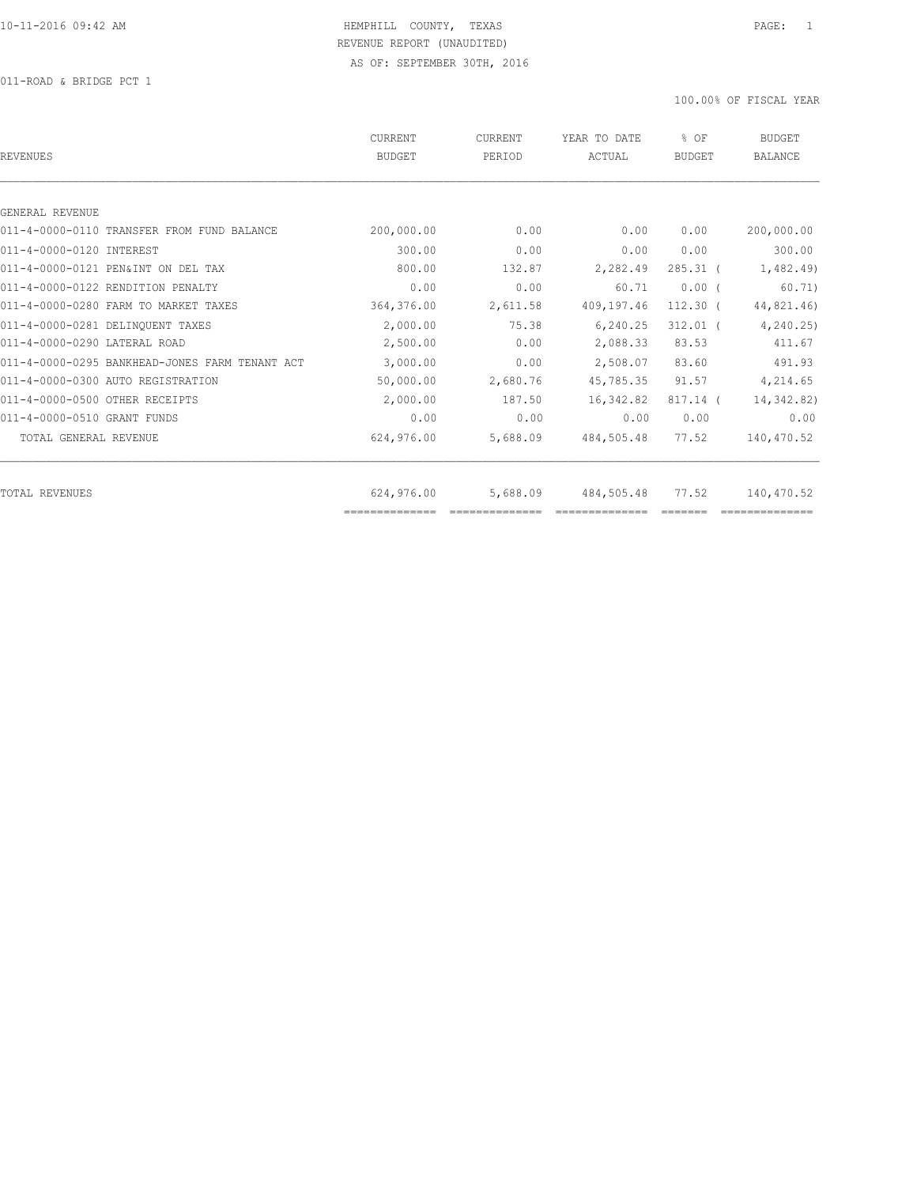011-ROAD & BRIDGE PCT 1

| <b>REVENUES</b>                                | <b>CURRENT</b><br><b>BUDGET</b> | <b>CURRENT</b><br>PERIOD | YEAR TO DATE<br>ACTUAL | % OF<br><b>BUDGET</b> | <b>BUDGET</b><br><b>BALANCE</b> |
|------------------------------------------------|---------------------------------|--------------------------|------------------------|-----------------------|---------------------------------|
|                                                |                                 |                          |                        |                       |                                 |
| GENERAL REVENUE                                |                                 |                          |                        |                       |                                 |
| 011-4-0000-0110 TRANSFER FROM FUND BALANCE     | 200,000.00                      | 0.00                     | 0.00                   | 0.00                  | 200,000.00                      |
| 011-4-0000-0120 INTEREST                       | 300.00                          | 0.00                     | 0.00                   | 0.00                  | 300.00                          |
| 011-4-0000-0121 PEN&INT ON DEL TAX             | 800.00                          | 132.87                   | 2,282.49               | $285.31$ (            | 1,482.49                        |
| 011-4-0000-0122 RENDITION PENALTY              | 0.00                            | 0.00                     | 60.71                  | $0.00$ (              | 60.71)                          |
| 011-4-0000-0280 FARM TO MARKET TAXES           | 364,376.00                      | 2,611.58                 | 409,197.46             | $112.30$ (            | 44,821.46)                      |
| 011-4-0000-0281 DELINQUENT TAXES               | 2,000.00                        | 75.38                    | 6,240.25               | $312.01$ (            | 4, 240.25                       |
| 011-4-0000-0290 LATERAL ROAD                   | 2,500.00                        | 0.00                     | 2,088.33               | 83.53                 | 411.67                          |
| 011-4-0000-0295 BANKHEAD-JONES FARM TENANT ACT | 3,000.00                        | 0.00                     | 2,508.07               | 83.60                 | 491.93                          |
| 011-4-0000-0300 AUTO REGISTRATION              | 50,000.00                       | 2,680.76                 | 45,785.35              | 91.57                 | 4,214.65                        |
| 011-4-0000-0500 OTHER RECEIPTS                 | 2,000.00                        | 187.50                   | 16,342.82              | $817.14$ (            | 14,342.82)                      |
| 011-4-0000-0510 GRANT FUNDS                    | 0.00                            | 0.00                     | 0.00                   | 0.00                  | 0.00                            |
| TOTAL GENERAL REVENUE                          | 624,976.00                      | 5,688.09                 | 484,505.48             | 77.52                 | 140,470.52                      |
| TOTAL REVENUES                                 | 624,976.00                      | 5,688.09                 | 484,505.48             | 77.52                 | 140,470.52                      |
|                                                | ==============                  |                          |                        |                       |                                 |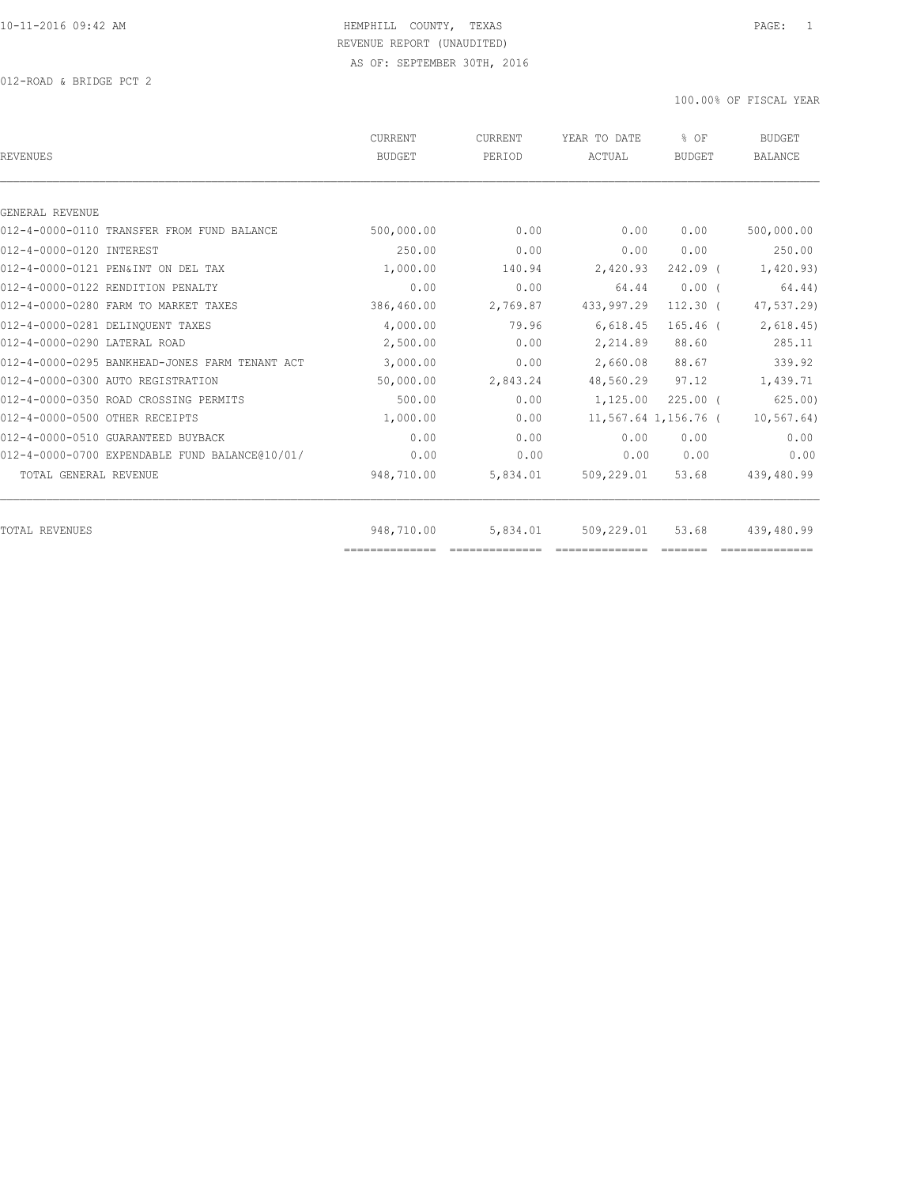012-ROAD & BRIDGE PCT 2

| <b>REVENUES</b>                                | <b>CURRENT</b><br><b>BUDGET</b> | CURRENT<br>PERIOD | YEAR TO DATE<br>ACTUAL | % OF<br><b>BUDGET</b> | <b>BUDGET</b><br><b>BALANCE</b> |
|------------------------------------------------|---------------------------------|-------------------|------------------------|-----------------------|---------------------------------|
|                                                |                                 |                   |                        |                       |                                 |
| GENERAL REVENUE                                |                                 |                   |                        |                       |                                 |
| 012-4-0000-0110 TRANSFER FROM FUND BALANCE     | 500,000.00                      | 0.00              | 0.00                   | 0.00                  | 500,000.00                      |
| 012-4-0000-0120 INTEREST                       | 250.00                          | 0.00              | 0.00                   | 0.00                  | 250.00                          |
| 012-4-0000-0121 PEN&INT ON DEL TAX             | 1,000.00                        | 140.94            | 2,420.93               | 242.09 (              | 1,420.93)                       |
| 012-4-0000-0122 RENDITION PENALTY              | 0.00                            | 0.00              | 64.44                  | $0.00$ (              | 64.44)                          |
| 012-4-0000-0280 FARM TO MARKET TAXES           | 386,460.00                      | 2,769.87          | 433,997.29             | $112.30$ (            | 47,537.29)                      |
| 012-4-0000-0281 DELINQUENT TAXES               | 4,000.00                        | 79.96             | 6,618.45               | $165.46$ (            | 2,618.45                        |
| 012-4-0000-0290 LATERAL ROAD                   | 2,500.00                        | 0.00              | 2,214.89               | 88.60                 | 285.11                          |
| 012-4-0000-0295 BANKHEAD-JONES FARM TENANT ACT | 3,000.00                        | 0.00              | 2,660.08               | 88.67                 | 339.92                          |
| 012-4-0000-0300 AUTO REGISTRATION              | 50,000.00                       | 2,843.24          | 48,560.29              | 97.12                 | 1,439.71                        |
| 012-4-0000-0350 ROAD CROSSING PERMITS          | 500.00                          | 0.00              | 1,125.00               | $225.00$ $($          | 625.00                          |
| 012-4-0000-0500 OTHER RECEIPTS                 | 1,000.00                        | 0.00              |                        | 11,567.64 1,156.76 (  | 10, 567.64)                     |
| 012-4-0000-0510 GUARANTEED BUYBACK             | 0.00                            | 0.00              | 0.00                   | 0.00                  | 0.00                            |
| 012-4-0000-0700 EXPENDABLE FUND BALANCE@10/01/ | 0.00                            | 0.00              | 0.00                   | 0.00                  | 0.00                            |
| TOTAL GENERAL REVENUE                          | 948,710.00                      | 5,834.01          | 509,229.01             | 53.68                 | 439,480.99                      |
|                                                |                                 |                   |                        |                       |                                 |
| TOTAL REVENUES                                 | 948,710.00<br>==============    | 5,834.01          | 509,229.01             | 53.68                 | 439,480.99                      |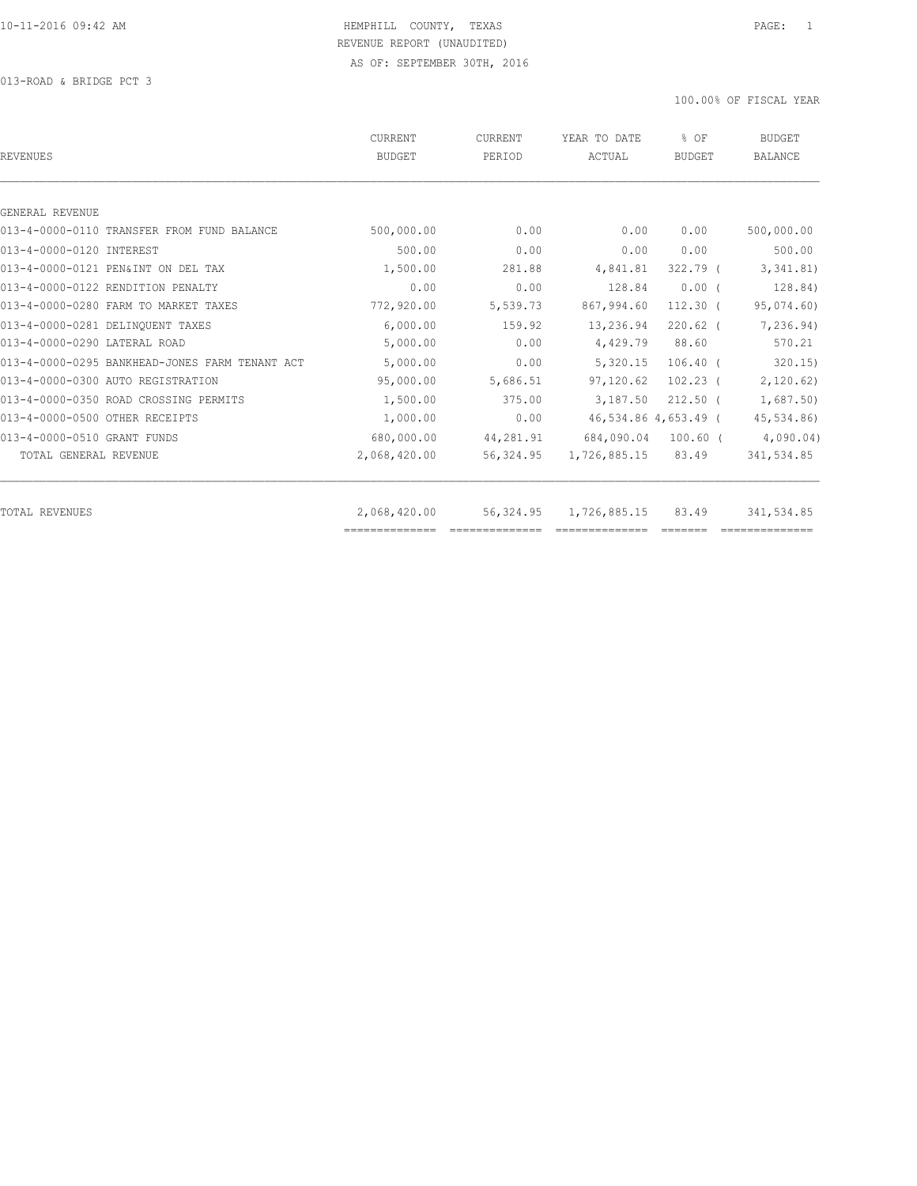013-ROAD & BRIDGE PCT 3

| REVENUES                                       | CURRENT<br><b>BUDGET</b> | CURRENT<br>PERIOD | YEAR TO DATE<br>ACTUAL      | % OF<br><b>BUDGET</b> | <b>BUDGET</b><br><b>BALANCE</b> |
|------------------------------------------------|--------------------------|-------------------|-----------------------------|-----------------------|---------------------------------|
|                                                |                          |                   |                             |                       |                                 |
| GENERAL REVENUE                                |                          |                   |                             |                       |                                 |
| 013-4-0000-0110 TRANSFER FROM FUND BALANCE     | 500,000.00               | 0.00              | 0.00                        | 0.00                  | 500,000.00                      |
| 013-4-0000-0120 INTEREST                       | 500.00                   | 0.00              | 0.00                        | 0.00                  | 500.00                          |
| 013-4-0000-0121 PEN&INT ON DEL TAX             | 1,500.00                 | 281.88            | 4,841.81                    | $322.79$ (            | 3,341.81)                       |
| 013-4-0000-0122 RENDITION PENALTY              | 0.00                     | 0.00              | 128.84                      | $0.00$ $($            | 128.84)                         |
| 013-4-0000-0280 FARM TO MARKET TAXES           | 772,920.00               | 5,539.73          | 867,994.60                  | $112.30$ (            | 95,074.60)                      |
| 013-4-0000-0281 DELINQUENT TAXES               | 6,000.00                 | 159.92            | 13,236.94                   | $220.62$ (            | 7,236.94)                       |
| 013-4-0000-0290 LATERAL ROAD                   | 5,000.00                 | 0.00              | 4,429.79                    | 88.60                 | 570.21                          |
| 013-4-0000-0295 BANKHEAD-JONES FARM TENANT ACT | 5,000.00                 | 0.00              | 5,320.15                    | $106.40$ (            | 320.15                          |
| 013-4-0000-0300 AUTO REGISTRATION              | 95,000.00                | 5,686.51          | 97,120.62                   | $102.23$ (            | 2,120.62)                       |
| 013-4-0000-0350 ROAD CROSSING PERMITS          | 1,500.00                 | 375.00            | 3,187.50                    | $212.50$ (            | 1,687.50)                       |
| 013-4-0000-0500 OTHER RECEIPTS                 | 1,000.00                 | 0.00              |                             | 46,534.86 4,653.49 (  | 45,534.86)                      |
| 013-4-0000-0510 GRANT FUNDS                    | 680,000.00               | 44,281.91         | 684,090.04                  | $100.60$ $($          | 4,090.04)                       |
| TOTAL GENERAL REVENUE                          | 2,068,420.00             | 56,324.95         | 1,726,885.15                | 83.49                 | 341,534.85                      |
| TOTAL REVENUES                                 | 2,068,420.00             |                   | 56, 324, 95 1, 726, 885, 15 | 83.49                 | 341,534.85                      |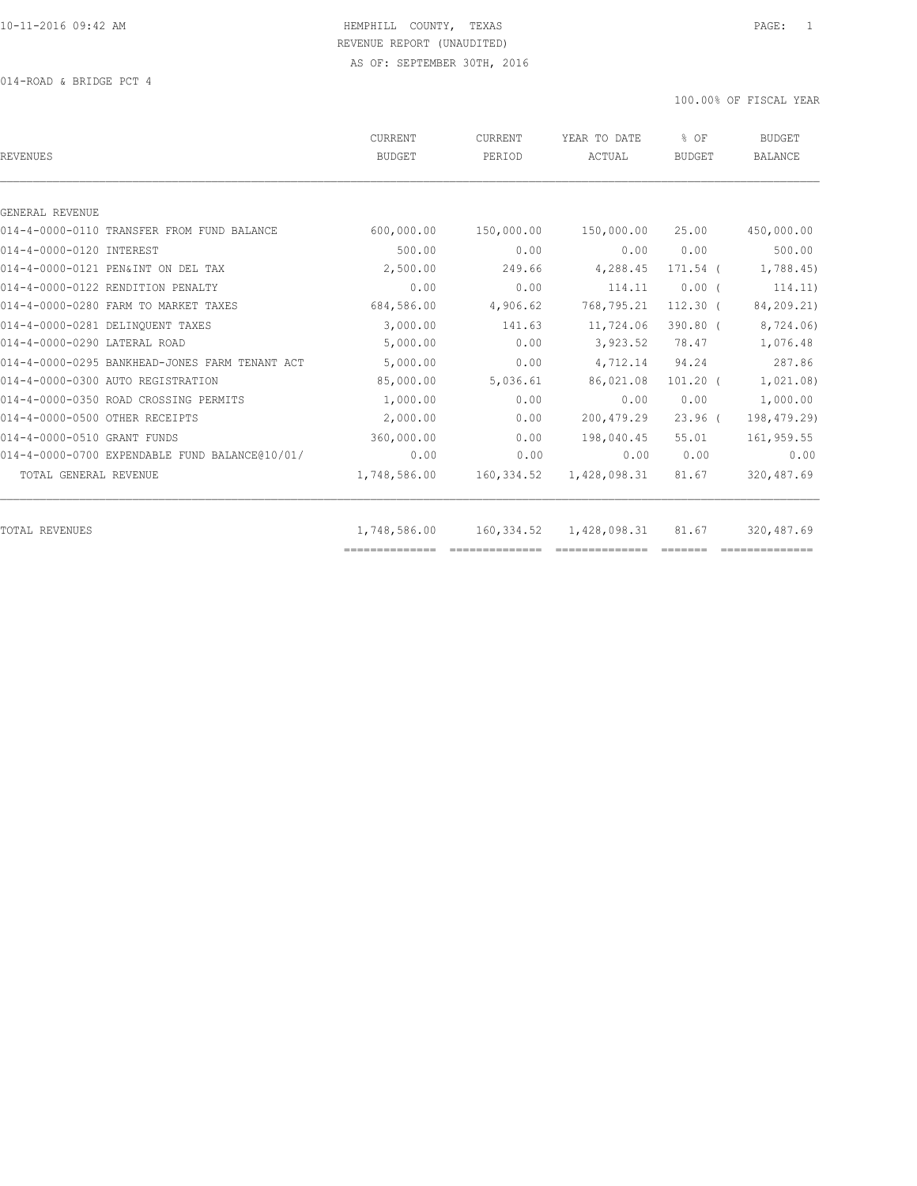014-ROAD & BRIDGE PCT 4

| <b>REVENUES</b>                                | CURRENT<br><b>BUDGET</b> | CURRENT<br>PERIOD | YEAR TO DATE<br>ACTUAL | % OF<br><b>BUDGET</b> | <b>BUDGET</b><br><b>BALANCE</b> |
|------------------------------------------------|--------------------------|-------------------|------------------------|-----------------------|---------------------------------|
|                                                |                          |                   |                        |                       |                                 |
| GENERAL REVENUE                                |                          |                   |                        |                       |                                 |
| 014-4-0000-0110 TRANSFER FROM FUND BALANCE     | 600,000.00               | 150,000.00        | 150,000.00             | 25.00                 | 450,000.00                      |
| 014-4-0000-0120 INTEREST                       | 500.00                   | 0.00              | 0.00                   | 0.00                  | 500.00                          |
| 014-4-0000-0121 PEN&INT ON DEL TAX             | 2,500.00                 | 249.66            | 4,288.45               | 171.54 (              | 1,788.45)                       |
| 014-4-0000-0122 RENDITION PENALTY              | 0.00                     | 0.00              | 114.11                 | $0.00$ (              | 114.11)                         |
| 014-4-0000-0280 FARM TO MARKET TAXES           | 684,586.00               | 4,906.62          | 768,795.21             | $112.30$ (            | 84,209.21)                      |
| 014-4-0000-0281 DELINQUENT TAXES               | 3,000.00                 | 141.63            | 11,724.06              | $390.80$ (            | 8,724.06)                       |
| 014-4-0000-0290 LATERAL ROAD                   | 5,000.00                 | 0.00              | 3,923.52               | 78.47                 | 1,076.48                        |
| 014-4-0000-0295 BANKHEAD-JONES FARM TENANT ACT | 5,000.00                 | 0.00              | 4,712.14               | 94.24                 | 287.86                          |
| 014-4-0000-0300 AUTO REGISTRATION              | 85,000.00                | 5,036.61          | 86,021.08              | $101.20$ (            | 1,021.08)                       |
| 014-4-0000-0350 ROAD CROSSING PERMITS          | 1,000.00                 | 0.00              | 0.00                   | 0.00                  | 1,000.00                        |
| 014-4-0000-0500 OTHER RECEIPTS                 | 2,000.00                 | 0.00              | 200, 479.29            | $23.96$ (             | 198, 479.29)                    |
| 014-4-0000-0510 GRANT FUNDS                    | 360,000.00               | 0.00              | 198,040.45             | 55.01                 | 161,959.55                      |
| 014-4-0000-0700 EXPENDABLE FUND BALANCE@10/01/ | 0.00                     | 0.00              | 0.00                   | 0.00                  | 0.00                            |
| TOTAL GENERAL REVENUE                          | 1,748,586.00             | 160,334.52        | 1,428,098.31           | 81.67                 | 320, 487.69                     |
| TOTAL REVENUES                                 | 1,748,586.00             | 160,334.52        | 1,428,098.31           | 81.67                 | 320,487.69                      |
|                                                |                          |                   |                        |                       |                                 |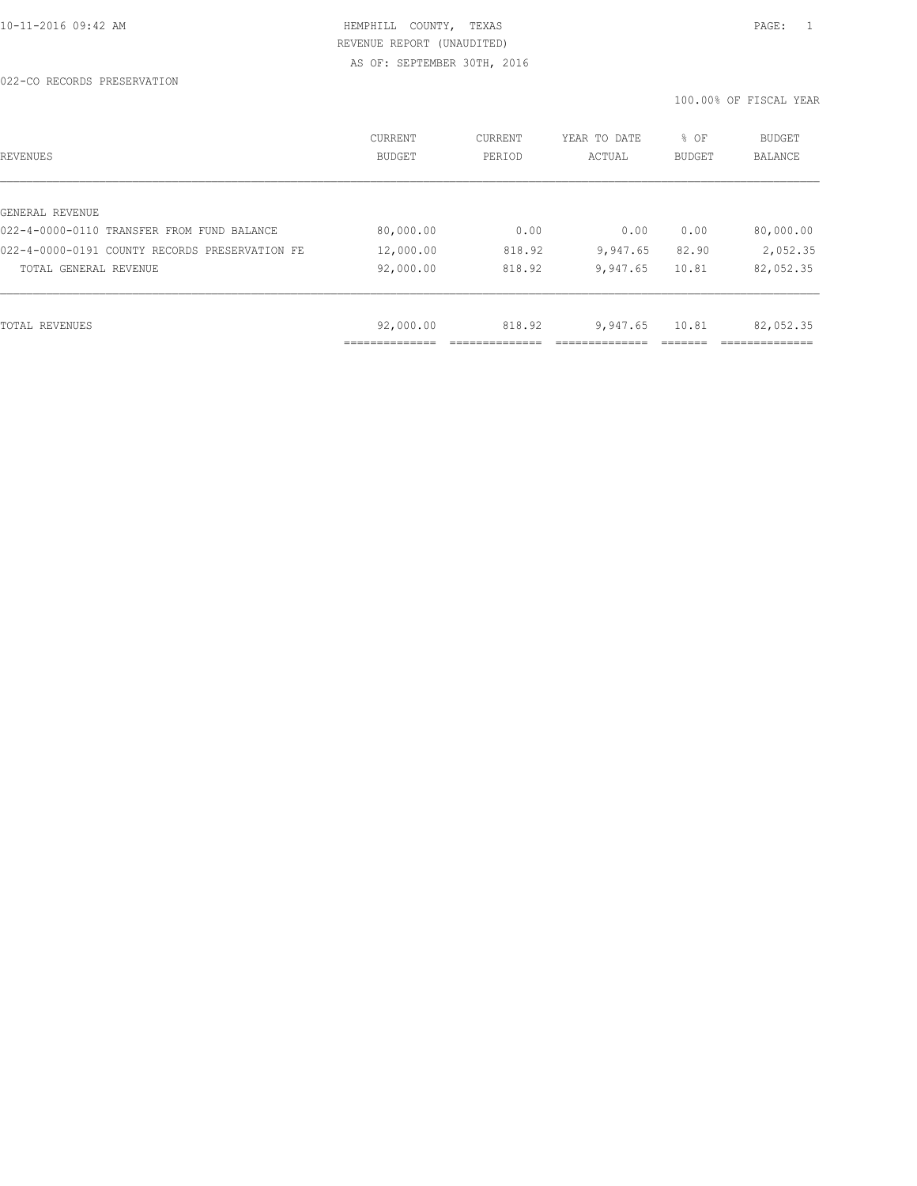022-CO RECORDS PRESERVATION

| REVENUES                                       | CURRENT<br><b>BUDGET</b> | CURRENT<br>PERIOD | YEAR TO DATE<br>ACTUAL | % OF<br>BUDGET | <b>BUDGET</b><br><b>BALANCE</b> |
|------------------------------------------------|--------------------------|-------------------|------------------------|----------------|---------------------------------|
|                                                |                          |                   |                        |                |                                 |
| GENERAL REVENUE                                |                          |                   |                        |                |                                 |
| 022-4-0000-0110 TRANSFER FROM FUND BALANCE     | 80,000.00                | 0.00              | 0.00                   | 0.00           | 80,000.00                       |
| 022-4-0000-0191 COUNTY RECORDS PRESERVATION FE | 12,000.00                | 818.92            | 9,947.65               | 82.90          | 2,052.35                        |
| TOTAL GENERAL REVENUE                          | 92,000.00                | 818.92            | 9,947.65               | 10.81          | 82,052.35                       |
|                                                |                          |                   |                        |                |                                 |
| TOTAL REVENUES                                 | 92,000.00                | 818.92            | 9,947.65               | 10.81          | 82,052.35                       |
|                                                | ----------               |                   |                        |                |                                 |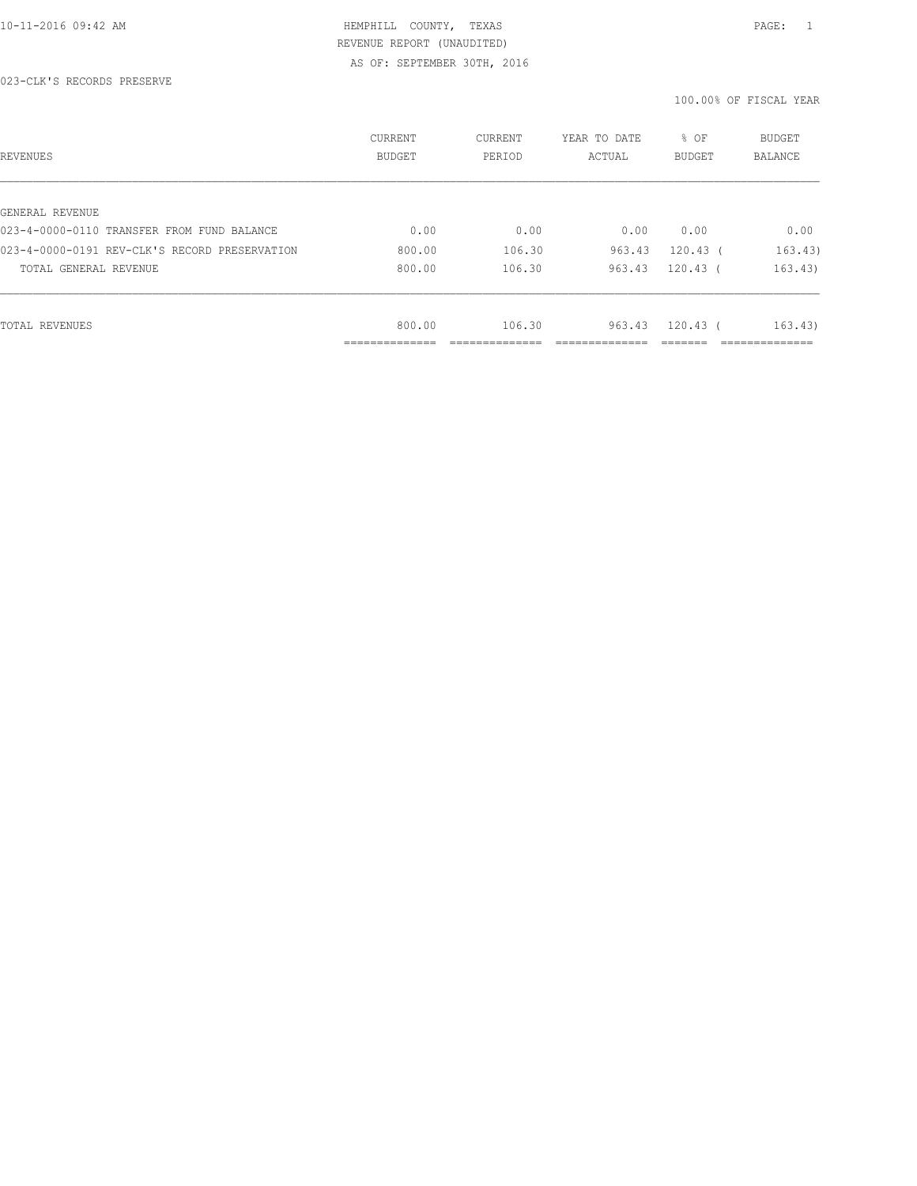023-CLK'S RECORDS PRESERVE

| REVENUES                                      | CURRENT<br>BUDGET | CURRENT<br>PERIOD | YEAR TO DATE<br>ACTUAL | % OF<br><b>BUDGET</b> | <b>BUDGET</b><br>BALANCE |
|-----------------------------------------------|-------------------|-------------------|------------------------|-----------------------|--------------------------|
|                                               |                   |                   |                        |                       |                          |
| GENERAL REVENUE                               |                   |                   |                        |                       |                          |
| 023-4-0000-0110 TRANSFER FROM FUND BALANCE    | 0.00              | 0.00              | 0.00                   | 0.00                  | 0.00                     |
| 023-4-0000-0191 REV-CLK'S RECORD PRESERVATION | 800.00            | 106.30            | 963.43                 | $120.43$ (            | 163.43)                  |
| TOTAL GENERAL REVENUE                         | 800.00            | 106.30            | 963.43                 | $120.43$ (            | 163.43)                  |
|                                               |                   |                   |                        |                       |                          |
| TOTAL REVENUES                                | 800.00            | 106.30            | 963.43                 | $120.43$ (            | 163.43)                  |
|                                               | -----------       |                   |                        |                       |                          |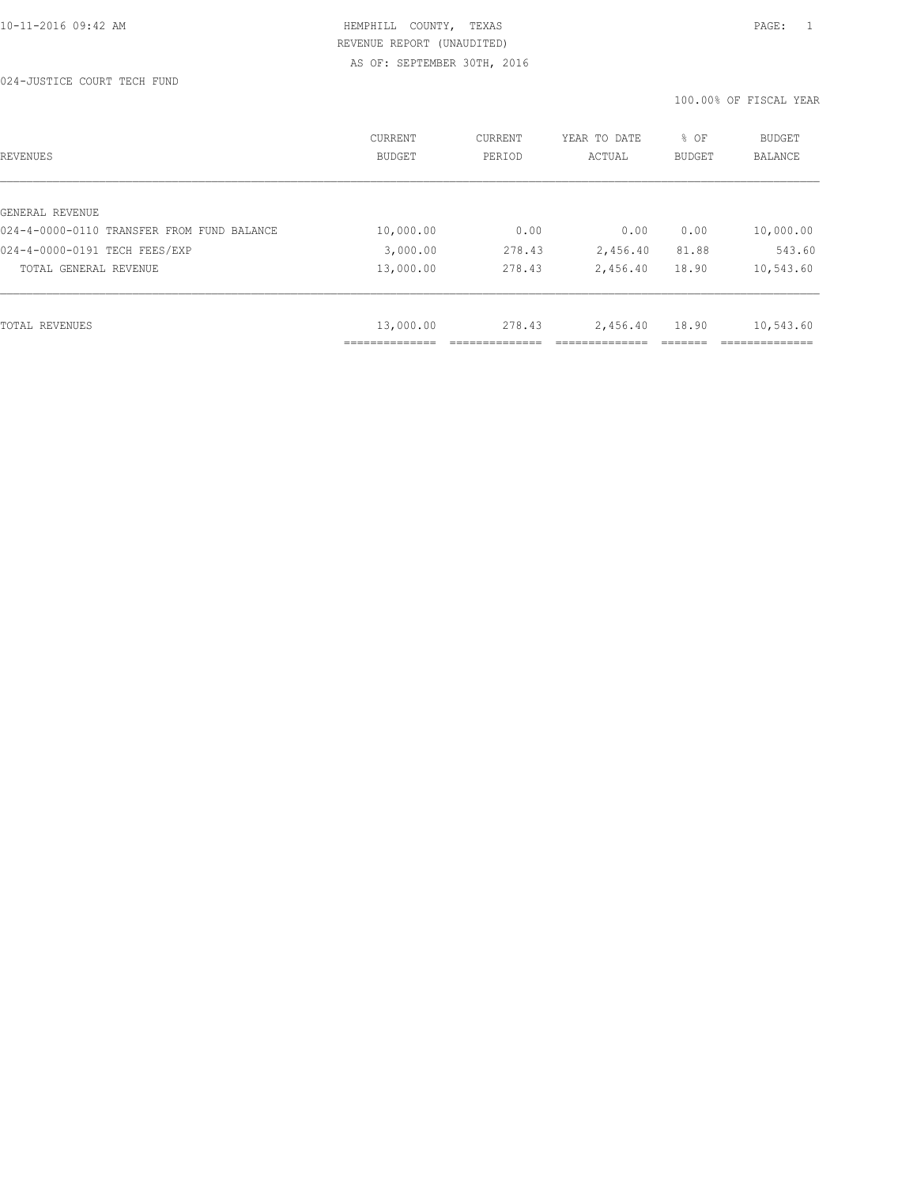| REVENUES                                   | <b>CURRENT</b><br><b>BUDGET</b> | CURRENT<br>PERIOD | YEAR TO DATE<br>ACTUAL | % OF<br><b>BUDGET</b> | <b>BUDGET</b><br><b>BALANCE</b> |
|--------------------------------------------|---------------------------------|-------------------|------------------------|-----------------------|---------------------------------|
|                                            |                                 |                   |                        |                       |                                 |
| GENERAL REVENUE                            |                                 |                   |                        |                       |                                 |
| 024-4-0000-0110 TRANSFER FROM FUND BALANCE | 10,000.00                       | 0.00              | 0.00                   | 0.00                  | 10,000.00                       |
| 024-4-0000-0191 TECH FEES/EXP              | 3,000.00                        | 278.43            | 2,456.40               | 81.88                 | 543.60                          |
| TOTAL GENERAL REVENUE                      | 13,000.00                       | 278.43            | 2,456.40               | 18.90                 | 10,543.60                       |
|                                            |                                 |                   |                        |                       |                                 |
| TOTAL REVENUES                             | 13,000.00                       | 278.43            | 2,456.40               | 18.90                 | 10,543.60                       |
|                                            |                                 |                   |                        |                       |                                 |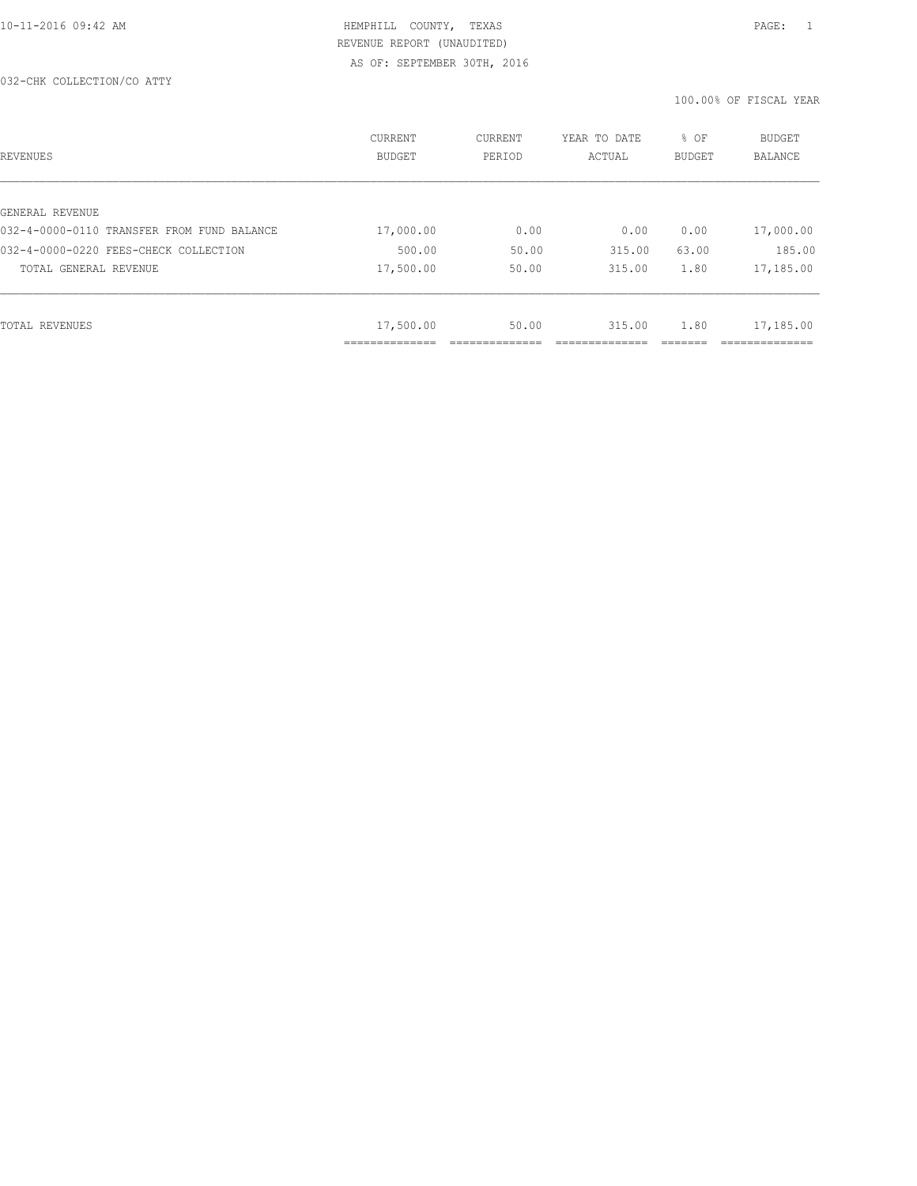| REVENUES                                   | <b>CURRENT</b><br><b>BUDGET</b> | CURRENT<br>PERIOD | YEAR TO DATE<br>ACTUAL | % OF<br>BUDGET | BUDGET<br><b>BALANCE</b> |
|--------------------------------------------|---------------------------------|-------------------|------------------------|----------------|--------------------------|
|                                            |                                 |                   |                        |                |                          |
| GENERAL REVENUE                            |                                 |                   |                        |                |                          |
| 032-4-0000-0110 TRANSFER FROM FUND BALANCE | 17,000.00                       | 0.00              | 0.00                   | 0.00           | 17,000.00                |
| 032-4-0000-0220 FEES-CHECK COLLECTION      | 500.00                          | 50.00             | 315.00                 | 63.00          | 185.00                   |
| TOTAL GENERAL REVENUE                      | 17,500.00                       | 50.00             | 315.00                 | 1.80           | 17,185.00                |
|                                            |                                 |                   |                        |                |                          |
| TOTAL REVENUES                             | 17,500.00                       | 50.00             | 315.00                 | 1.80           | 17,185.00                |
|                                            | ____________                    |                   |                        |                |                          |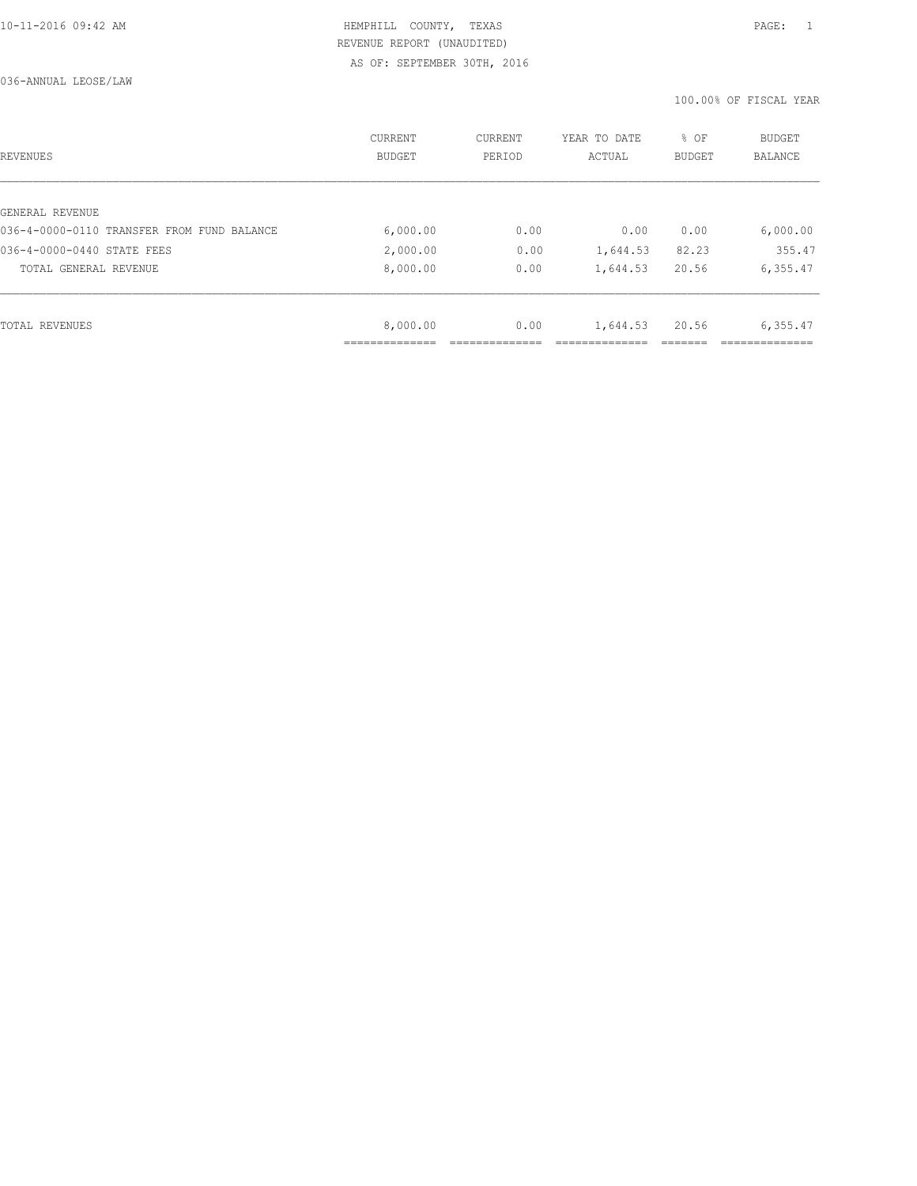| REVENUES                                   | <b>CURRENT</b><br><b>BUDGET</b> | CURRENT<br>PERIOD | YEAR TO DATE<br>ACTUAL | % OF<br><b>BUDGET</b> | <b>BUDGET</b><br><b>BALANCE</b> |
|--------------------------------------------|---------------------------------|-------------------|------------------------|-----------------------|---------------------------------|
|                                            |                                 |                   |                        |                       |                                 |
| GENERAL REVENUE                            |                                 |                   |                        |                       |                                 |
| 036-4-0000-0110 TRANSFER FROM FUND BALANCE | 6,000.00                        | 0.00              | 0.00                   | 0.00                  | 6,000.00                        |
| 036-4-0000-0440 STATE FEES                 | 2,000.00                        | 0.00              | 1,644.53               | 82.23                 | 355.47                          |
| TOTAL GENERAL REVENUE                      | 8,000.00                        | 0.00              | 1,644.53               | 20.56                 | 6,355.47                        |
|                                            |                                 |                   |                        |                       |                                 |
| TOTAL REVENUES                             | 8,000.00                        | 0.00              | 1,644.53               | 20.56                 | 6,355.47                        |
|                                            |                                 |                   |                        |                       |                                 |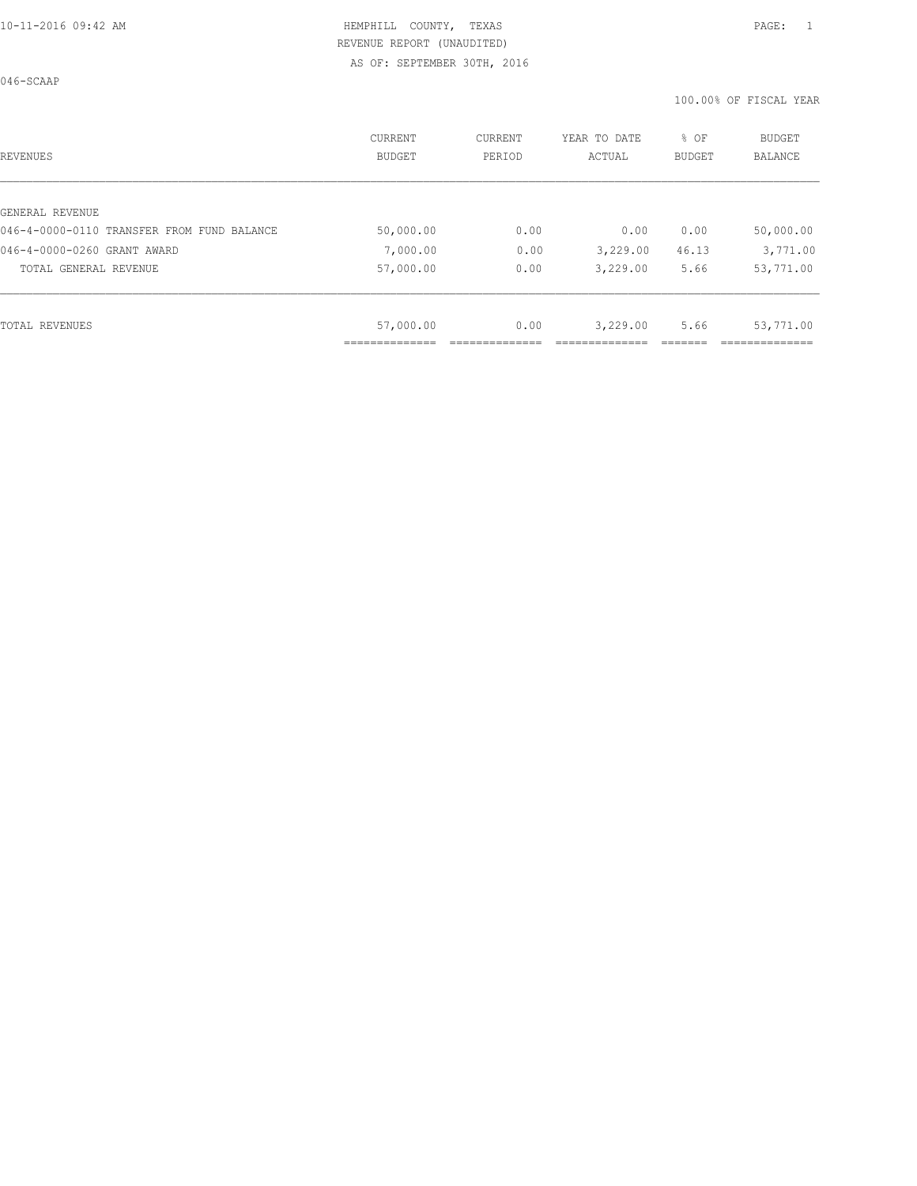046-SCAAP

| REVENUES                                   | CURRENT<br><b>BUDGET</b> | CURRENT<br>PERIOD | YEAR TO DATE<br>ACTUAL | % OF<br>BUDGET | <b>BUDGET</b><br><b>BALANCE</b> |
|--------------------------------------------|--------------------------|-------------------|------------------------|----------------|---------------------------------|
|                                            |                          |                   |                        |                |                                 |
| GENERAL REVENUE                            |                          |                   |                        |                |                                 |
| 046-4-0000-0110 TRANSFER FROM FUND BALANCE | 50,000.00                | 0.00              | 0.00                   | 0.00           | 50,000.00                       |
| 046-4-0000-0260 GRANT AWARD                | 7,000.00                 | 0.00              | 3,229.00               | 46.13          | 3,771.00                        |
| TOTAL GENERAL REVENUE                      | 57,000.00                | 0.00              | 3,229.00               | 5.66           | 53,771.00                       |
|                                            |                          |                   |                        |                |                                 |
| TOTAL REVENUES                             | 57,000.00                | 0.00              | 3,229.00               | 5.66           | 53,771.00                       |
|                                            |                          |                   |                        |                |                                 |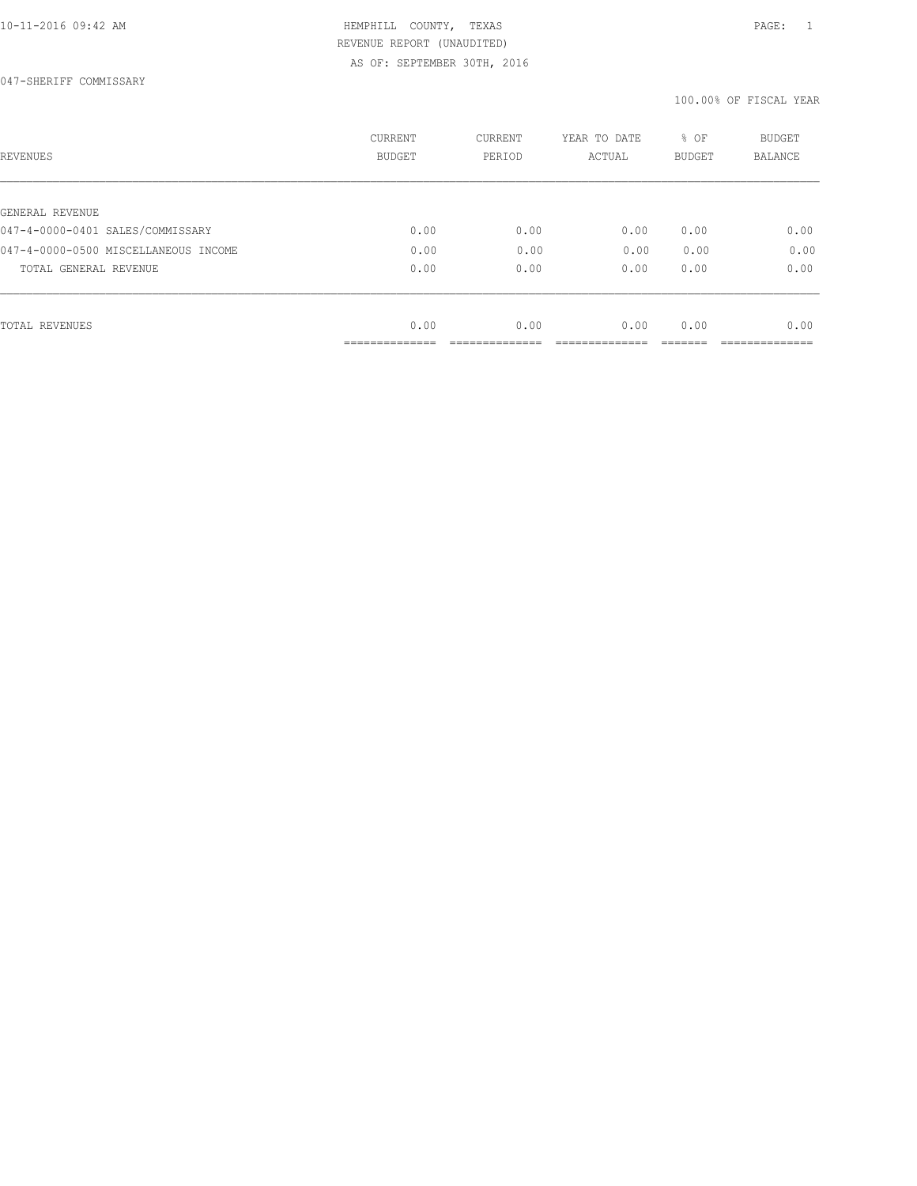| REVENUES                             | CURRENT<br><b>BUDGET</b> | CURRENT<br>PERIOD | YEAR TO DATE<br>ACTUAL | % OF<br>BUDGET | BUDGET<br>BALANCE |
|--------------------------------------|--------------------------|-------------------|------------------------|----------------|-------------------|
|                                      |                          |                   |                        |                |                   |
| GENERAL REVENUE                      |                          |                   |                        |                |                   |
| 047-4-0000-0401 SALES/COMMISSARY     | 0.00                     | 0.00              | 0.00                   | 0.00           | 0.00              |
| 047-4-0000-0500 MISCELLANEOUS INCOME | 0.00                     | 0.00              | 0.00                   | 0.00           | 0.00              |
| TOTAL GENERAL REVENUE                | 0.00                     | 0.00              | 0.00                   | 0.00           | 0.00              |
|                                      |                          |                   |                        |                |                   |
| TOTAL REVENUES                       | 0.00                     | 0.00              | 0.00                   | 0.00           | 0.00              |
|                                      | ----------               |                   |                        |                |                   |